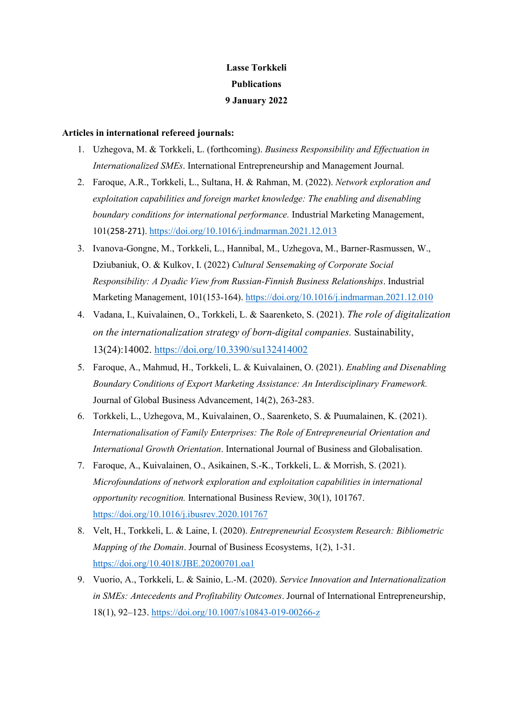# Lasse Torkkeli **Publications** 9 January 2022

# Articles in international refereed journals:

- 1. Uzhegova, M. & Torkkeli, L. (forthcoming). Business Responsibility and Effectuation in Internationalized SMEs. International Entrepreneurship and Management Journal.
- 2. Faroque, A.R., Torkkeli, L., Sultana, H. & Rahman, M. (2022). Network exploration and exploitation capabilities and foreign market knowledge: The enabling and disenabling boundary conditions for international performance. Industrial Marketing Management, 101(258-271). https://doi.org/10.1016/j.indmarman.2021.12.013
- 3. Ivanova-Gongne, M., Torkkeli, L., Hannibal, M., Uzhegova, M., Barner-Rasmussen, W., Dziubaniuk, O. & Kulkov, I. (2022) Cultural Sensemaking of Corporate Social Responsibility: A Dyadic View from Russian-Finnish Business Relationships. Industrial Marketing Management, 101(153-164). https://doi.org/10.1016/j.indmarman.2021.12.010
- 4. Vadana, I., Kuivalainen, O., Torkkeli, L. & Saarenketo, S. (2021). The role of digitalization on the internationalization strategy of born-digital companies. Sustainability, 13(24):14002. https://doi.org/10.3390/su132414002
- 5. Faroque, A., Mahmud, H., Torkkeli, L. & Kuivalainen, O. (2021). Enabling and Disenabling Boundary Conditions of Export Marketing Assistance: An Interdisciplinary Framework. Journal of Global Business Advancement, 14(2), 263-283.
- 6. Torkkeli, L., Uzhegova, M., Kuivalainen, O., Saarenketo, S. & Puumalainen, K. (2021). Internationalisation of Family Enterprises: The Role of Entrepreneurial Orientation and International Growth Orientation. International Journal of Business and Globalisation.
- 7. Faroque, A., Kuivalainen, O., Asikainen, S.-K., Torkkeli, L. & Morrish, S. (2021). Microfoundations of network exploration and exploitation capabilities in international opportunity recognition. International Business Review, 30(1), 101767. https://doi.org/10.1016/j.ibusrev.2020.101767
- 8. Velt, H., Torkkeli, L. & Laine, I. (2020). Entrepreneurial Ecosystem Research: Bibliometric Mapping of the Domain. Journal of Business Ecosystems, 1(2), 1-31. https://doi.org/10.4018/JBE.20200701.oa1
- 9. Vuorio, A., Torkkeli, L. & Sainio, L.-M. (2020). Service Innovation and Internationalization in SMEs: Antecedents and Profitability Outcomes. Journal of International Entrepreneurship, 18(1), 92–123. https://doi.org/10.1007/s10843-019-00266-z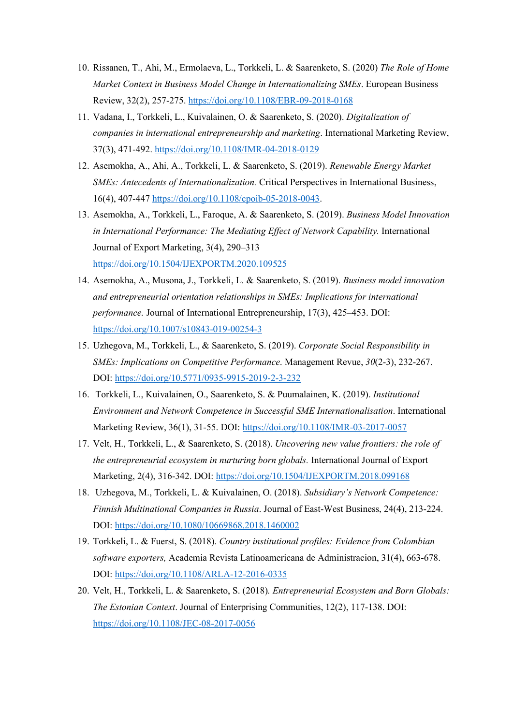- 10. Rissanen, T., Ahi, M., Ermolaeva, L., Torkkeli, L. & Saarenketo, S. (2020) The Role of Home Market Context in Business Model Change in Internationalizing SMEs. European Business Review, 32(2), 257-275. https://doi.org/10.1108/EBR-09-2018-0168
- 11. Vadana, I., Torkkeli, L., Kuivalainen, O. & Saarenketo, S. (2020). Digitalization of companies in international entrepreneurship and marketing. International Marketing Review, 37(3), 471-492. https://doi.org/10.1108/IMR-04-2018-0129
- 12. Asemokha, A., Ahi, A., Torkkeli, L. & Saarenketo, S. (2019). Renewable Energy Market SMEs: Antecedents of Internationalization. Critical Perspectives in International Business, 16(4), 407-447 https://doi.org/10.1108/cpoib-05-2018-0043.
- 13. Asemokha, A., Torkkeli, L., Faroque, A. & Saarenketo, S. (2019). Business Model Innovation in International Performance: The Mediating Effect of Network Capability. International Journal of Export Marketing, 3(4), 290–313 https://doi.org/10.1504/IJEXPORTM.2020.109525
- 14. Asemokha, A., Musona, J., Torkkeli, L. & Saarenketo, S. (2019). Business model innovation and entrepreneurial orientation relationships in SMEs: Implications for international performance. Journal of International Entrepreneurship, 17(3), 425–453. DOI: https://doi.org/10.1007/s10843-019-00254-3
- 15. Uzhegova, M., Torkkeli, L., & Saarenketo, S. (2019). Corporate Social Responsibility in SMEs: Implications on Competitive Performance. Management Revue, 30(2-3), 232-267. DOI: https://doi.org/10.5771/0935-9915-2019-2-3-232
- 16. Torkkeli, L., Kuivalainen, O., Saarenketo, S. & Puumalainen, K. (2019). Institutional Environment and Network Competence in Successful SME Internationalisation. International Marketing Review, 36(1), 31-55. DOI: https://doi.org/10.1108/IMR-03-2017-0057
- 17. Velt, H., Torkkeli, L., & Saarenketo, S. (2018). Uncovering new value frontiers: the role of the entrepreneurial ecosystem in nurturing born globals. International Journal of Export Marketing, 2(4), 316-342. DOI: https://doi.org/10.1504/IJEXPORTM.2018.099168
- 18. Uzhegova, M., Torkkeli, L. & Kuivalainen, O. (2018). Subsidiary's Network Competence: Finnish Multinational Companies in Russia. Journal of East-West Business, 24(4), 213-224. DOI: https://doi.org/10.1080/10669868.2018.1460002
- 19. Torkkeli, L. & Fuerst, S. (2018). Country institutional profiles: Evidence from Colombian software exporters, Academia Revista Latinoamericana de Administracion, 31(4), 663-678. DOI: https://doi.org/10.1108/ARLA-12-2016-0335
- 20. Velt, H., Torkkeli, L. & Saarenketo, S. (2018). Entrepreneurial Ecosystem and Born Globals: The Estonian Context. Journal of Enterprising Communities, 12(2), 117-138. DOI: https://doi.org/10.1108/JEC-08-2017-0056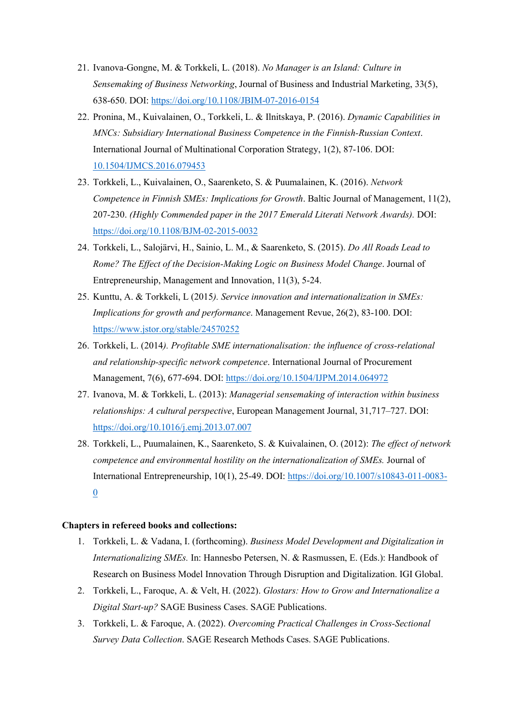- 21. Ivanova-Gongne, M. & Torkkeli, L. (2018). No Manager is an Island: Culture in Sensemaking of Business Networking, Journal of Business and Industrial Marketing, 33(5), 638-650. DOI: https://doi.org/10.1108/JBIM-07-2016-0154
- 22. Pronina, M., Kuivalainen, O., Torkkeli, L. & Ilnitskaya, P. (2016). Dynamic Capabilities in MNCs: Subsidiary International Business Competence in the Finnish-Russian Context. International Journal of Multinational Corporation Strategy, 1(2), 87-106. DOI: 10.1504/IJMCS.2016.079453
- 23. Torkkeli, L., Kuivalainen, O., Saarenketo, S. & Puumalainen, K. (2016). Network Competence in Finnish SMEs: Implications for Growth. Baltic Journal of Management, 11(2), 207-230. (Highly Commended paper in the 2017 Emerald Literati Network Awards). DOI: https://doi.org/10.1108/BJM-02-2015-0032
- 24. Torkkeli, L., Salojärvi, H., Sainio, L. M., & Saarenketo, S. (2015). Do All Roads Lead to Rome? The Effect of the Decision-Making Logic on Business Model Change. Journal of Entrepreneurship, Management and Innovation, 11(3), 5-24.
- 25. Kunttu, A. & Torkkeli, L (2015). Service innovation and internationalization in SMEs: Implications for growth and performance. Management Revue, 26(2), 83-100. DOI: https://www.jstor.org/stable/24570252
- 26. Torkkeli, L. (2014). Profitable SME internationalisation: the influence of cross-relational and relationship-specific network competence. International Journal of Procurement Management, 7(6), 677-694. DOI: https://doi.org/10.1504/IJPM.2014.064972
- 27. Ivanova, M. & Torkkeli, L. (2013): Managerial sensemaking of interaction within business relationships: A cultural perspective, European Management Journal, 31,717–727. DOI: https://doi.org/10.1016/j.emj.2013.07.007
- 28. Torkkeli, L., Puumalainen, K., Saarenketo, S. & Kuivalainen, O. (2012): The effect of network competence and environmental hostility on the internationalization of SMEs. Journal of International Entrepreneurship, 10(1), 25-49. DOI: https://doi.org/10.1007/s10843-011-0083- 0

### Chapters in refereed books and collections:

- 1. Torkkeli, L. & Vadana, I. (forthcoming). Business Model Development and Digitalization in Internationalizing SMEs. In: Hannesbo Petersen, N. & Rasmussen, E. (Eds.): Handbook of Research on Business Model Innovation Through Disruption and Digitalization. IGI Global.
- 2. Torkkeli, L., Faroque, A. & Velt, H. (2022). Glostars: How to Grow and Internationalize a Digital Start-up? SAGE Business Cases. SAGE Publications.
- 3. Torkkeli, L. & Faroque, A. (2022). Overcoming Practical Challenges in Cross-Sectional Survey Data Collection. SAGE Research Methods Cases. SAGE Publications.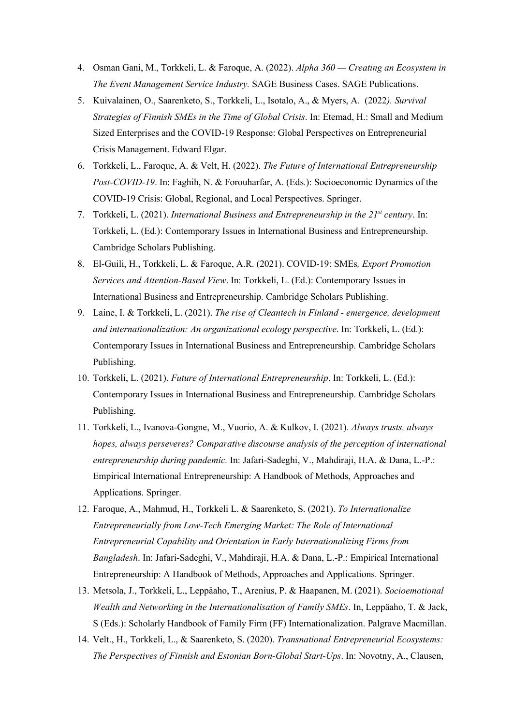- 4. Osman Gani, M., Torkkeli, L. & Faroque, A. (2022). Alpha 360 Creating an Ecosystem in The Event Management Service Industry. SAGE Business Cases. SAGE Publications.
- 5. Kuivalainen, O., Saarenketo, S., Torkkeli, L., Isotalo, A., & Myers, A. (2022). Survival Strategies of Finnish SMEs in the Time of Global Crisis. In: Etemad, H.: Small and Medium Sized Enterprises and the COVID-19 Response: Global Perspectives on Entrepreneurial Crisis Management. Edward Elgar.
- 6. Torkkeli, L., Faroque, A. & Velt, H. (2022). The Future of International Entrepreneurship Post-COVID-19. In: Faghih, N. & Forouharfar, A. (Eds.): Socioeconomic Dynamics of the COVID-19 Crisis: Global, Regional, and Local Perspectives. Springer.
- 7. Torkkeli, L. (2021). International Business and Entrepreneurship in the  $21^{st}$  century. In: Torkkeli, L. (Ed.): Contemporary Issues in International Business and Entrepreneurship. Cambridge Scholars Publishing.
- 8. El-Guili, H., Torkkeli, L. & Faroque, A.R. (2021). COVID-19: SMEs, Export Promotion Services and Attention-Based View. In: Torkkeli, L. (Ed.): Contemporary Issues in International Business and Entrepreneurship. Cambridge Scholars Publishing.
- 9. Laine, I. & Torkkeli, L. (2021). The rise of Cleantech in Finland emergence, development and internationalization: An organizational ecology perspective. In: Torkkeli, L. (Ed.): Contemporary Issues in International Business and Entrepreneurship. Cambridge Scholars Publishing.
- 10. Torkkeli, L. (2021). Future of International Entrepreneurship. In: Torkkeli, L. (Ed.): Contemporary Issues in International Business and Entrepreneurship. Cambridge Scholars Publishing.
- 11. Torkkeli, L., Ivanova-Gongne, M., Vuorio, A. & Kulkov, I. (2021). Always trusts, always hopes, always perseveres? Comparative discourse analysis of the perception of international entrepreneurship during pandemic. In: Jafari-Sadeghi, V., Mahdiraji, H.A. & Dana, L.-P.: Empirical International Entrepreneurship: A Handbook of Methods, Approaches and Applications. Springer.
- 12. Faroque, A., Mahmud, H., Torkkeli L. & Saarenketo, S. (2021). To Internationalize Entrepreneurially from Low-Tech Emerging Market: The Role of International Entrepreneurial Capability and Orientation in Early Internationalizing Firms from Bangladesh. In: Jafari-Sadeghi, V., Mahdiraji, H.A. & Dana, L.-P.: Empirical International Entrepreneurship: A Handbook of Methods, Approaches and Applications. Springer.
- 13. Metsola, J., Torkkeli, L., Leppäaho, T., Arenius, P. & Haapanen, M. (2021). Socioemotional Wealth and Networking in the Internationalisation of Family SMEs. In, Leppäaho, T. & Jack, S (Eds.): Scholarly Handbook of Family Firm (FF) Internationalization. Palgrave Macmillan.
- 14. Velt., H., Torkkeli, L., & Saarenketo, S. (2020). Transnational Entrepreneurial Ecosystems: The Perspectives of Finnish and Estonian Born-Global Start-Ups. In: Novotny, A., Clausen,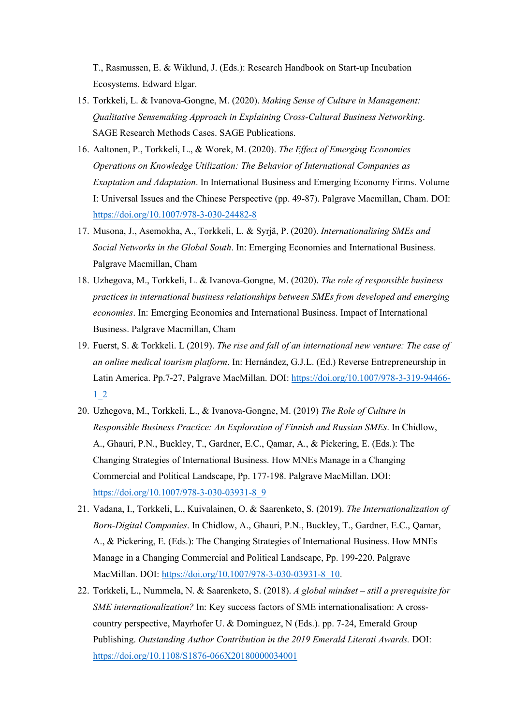T., Rasmussen, E. & Wiklund, J. (Eds.): Research Handbook on Start-up Incubation Ecosystems. Edward Elgar.

- 15. Torkkeli, L. & Ivanova-Gongne, M. (2020). Making Sense of Culture in Management: Qualitative Sensemaking Approach in Explaining Cross-Cultural Business Networking. SAGE Research Methods Cases. SAGE Publications.
- 16. Aaltonen, P., Torkkeli, L., & Worek, M. (2020). The Effect of Emerging Economies Operations on Knowledge Utilization: The Behavior of International Companies as Exaptation and Adaptation. In International Business and Emerging Economy Firms. Volume I: Universal Issues and the Chinese Perspective (pp. 49-87). Palgrave Macmillan, Cham. DOI: https://doi.org/10.1007/978-3-030-24482-8
- 17. Musona, J., Asemokha, A., Torkkeli, L. & Syrjä, P. (2020). Internationalising SMEs and Social Networks in the Global South. In: Emerging Economies and International Business. Palgrave Macmillan, Cham
- 18. Uzhegova, M., Torkkeli, L. & Ivanova-Gongne, M. (2020). The role of responsible business practices in international business relationships between SMEs from developed and emerging economies. In: Emerging Economies and International Business. Impact of International Business. Palgrave Macmillan, Cham
- 19. Fuerst, S. & Torkkeli. L (2019). The rise and fall of an international new venture: The case of an online medical tourism platform. In: Hernández, G.J.L. (Ed.) Reverse Entrepreneurship in Latin America. Pp.7-27, Palgrave MacMillan. DOI: https://doi.org/10.1007/978-3-319-94466- 1\_2
- 20. Uzhegova, M., Torkkeli, L., & Ivanova-Gongne, M. (2019) The Role of Culture in Responsible Business Practice: An Exploration of Finnish and Russian SMEs. In Chidlow, A., Ghauri, P.N., Buckley, T., Gardner, E.C., Qamar, A., & Pickering, E. (Eds.): The Changing Strategies of International Business. How MNEs Manage in a Changing Commercial and Political Landscape, Pp. 177-198. Palgrave MacMillan. DOI: https://doi.org/10.1007/978-3-030-03931-8\_9
- 21. Vadana, I., Torkkeli, L., Kuivalainen, O. & Saarenketo, S. (2019). The Internationalization of Born-Digital Companies. In Chidlow, A., Ghauri, P.N., Buckley, T., Gardner, E.C., Qamar, A., & Pickering, E. (Eds.): The Changing Strategies of International Business. How MNEs Manage in a Changing Commercial and Political Landscape, Pp. 199-220. Palgrave MacMillan. DOI: https://doi.org/10.1007/978-3-030-03931-8\_10.
- 22. Torkkeli, L., Nummela, N. & Saarenketo, S. (2018). A global mindset still a prerequisite for SME internationalization? In: Key success factors of SME internationalisation: A crosscountry perspective, Mayrhofer U. & Dominguez, N (Eds.). pp. 7-24, Emerald Group Publishing. Outstanding Author Contribution in the 2019 Emerald Literati Awards. DOI: https://doi.org/10.1108/S1876-066X20180000034001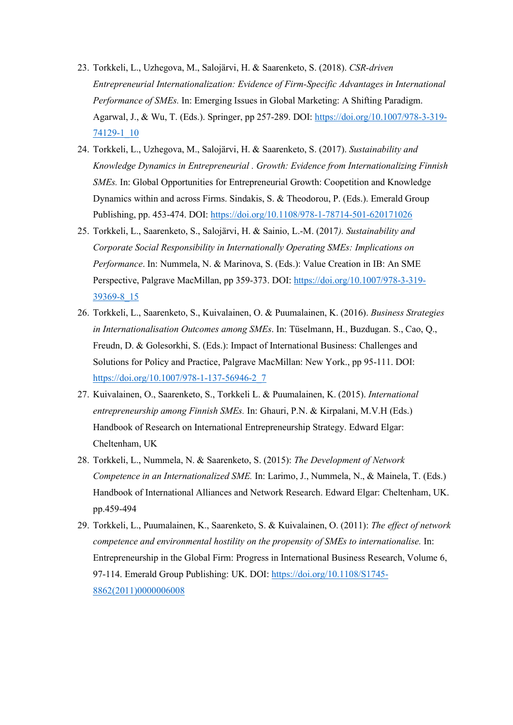- 23. Torkkeli, L., Uzhegova, M., Salojärvi, H. & Saarenketo, S. (2018). CSR-driven Entrepreneurial Internationalization: Evidence of Firm-Specific Advantages in International Performance of SMEs. In: Emerging Issues in Global Marketing: A Shifting Paradigm. Agarwal, J., & Wu, T. (Eds.). Springer, pp 257-289. DOI: https://doi.org/10.1007/978-3-319- 74129-1\_10
- 24. Torkkeli, L., Uzhegova, M., Salojärvi, H. & Saarenketo, S. (2017). Sustainability and Knowledge Dynamics in Entrepreneurial . Growth: Evidence from Internationalizing Finnish SMEs. In: Global Opportunities for Entrepreneurial Growth: Coopetition and Knowledge Dynamics within and across Firms. Sindakis, S. & Theodorou, P. (Eds.). Emerald Group Publishing, pp. 453-474. DOI: https://doi.org/10.1108/978-1-78714-501-620171026
- 25. Torkkeli, L., Saarenketo, S., Salojärvi, H. & Sainio, L.-M. (2017). Sustainability and Corporate Social Responsibility in Internationally Operating SMEs: Implications on Performance. In: Nummela, N. & Marinova, S. (Eds.): Value Creation in IB: An SME Perspective, Palgrave MacMillan, pp 359-373. DOI: https://doi.org/10.1007/978-3-319- 39369-8\_15
- 26. Torkkeli, L., Saarenketo, S., Kuivalainen, O. & Puumalainen, K. (2016). Business Strategies in Internationalisation Outcomes among SMEs. In: Tüselmann, H., Buzdugan. S., Cao, Q., Freudn, D. & Golesorkhi, S. (Eds.): Impact of International Business: Challenges and Solutions for Policy and Practice, Palgrave MacMillan: New York., pp 95-111. DOI: https://doi.org/10.1007/978-1-137-56946-2\_7
- 27. Kuivalainen, O., Saarenketo, S., Torkkeli L. & Puumalainen, K. (2015). International entrepreneurship among Finnish SMEs. In: Ghauri, P.N. & Kirpalani, M.V.H (Eds.) Handbook of Research on International Entrepreneurship Strategy. Edward Elgar: Cheltenham, UK
- 28. Torkkeli, L., Nummela, N. & Saarenketo, S. (2015): The Development of Network Competence in an Internationalized SME. In: Larimo, J., Nummela, N., & Mainela, T. (Eds.) Handbook of International Alliances and Network Research. Edward Elgar: Cheltenham, UK. pp.459-494
- 29. Torkkeli, L., Puumalainen, K., Saarenketo, S. & Kuivalainen, O. (2011): The effect of network competence and environmental hostility on the propensity of SMEs to internationalise. In: Entrepreneurship in the Global Firm: Progress in International Business Research, Volume 6, 97-114. Emerald Group Publishing: UK. DOI: https://doi.org/10.1108/S1745- 8862(2011)0000006008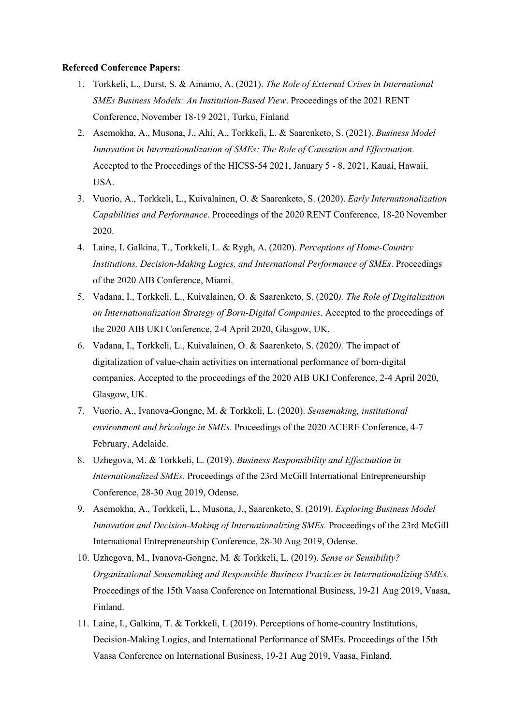#### Refereed Conference Papers:

- 1. Torkkeli, L., Durst, S. & Ainamo, A. (2021). The Role of External Crises in International SMEs Business Models: An Institution-Based View. Proceedings of the 2021 RENT Conference, November 18-19 2021, Turku, Finland
- 2. Asemokha, A., Musona, J., Ahi, A., Torkkeli, L. & Saarenketo, S. (2021). Business Model Innovation in Internationalization of SMEs: The Role of Causation and Effectuation. Accepted to the Proceedings of the HICSS-54 2021, January 5 - 8, 2021, Kauai, Hawaii, USA.
- 3. Vuorio, A., Torkkeli, L., Kuivalainen, O. & Saarenketo, S. (2020). Early Internationalization Capabilities and Performance. Proceedings of the 2020 RENT Conference, 18-20 November 2020.
- 4. Laine, I. Galkina, T., Torkkeli, L. & Rygh, A. (2020). Perceptions of Home-Country Institutions, Decision-Making Logics, and International Performance of SMEs. Proceedings of the 2020 AIB Conference, Miami.
- 5. Vadana, I., Torkkeli, L., Kuivalainen, O. & Saarenketo, S. (2020). The Role of Digitalization on Internationalization Strategy of Born-Digital Companies. Accepted to the proceedings of the 2020 AIB UKI Conference, 2-4 April 2020, Glasgow, UK.
- 6. Vadana, I., Torkkeli, L., Kuivalainen, O. & Saarenketo, S. (2020). The impact of digitalization of value-chain activities on international performance of born-digital companies. Accepted to the proceedings of the 2020 AIB UKI Conference, 2-4 April 2020, Glasgow, UK.
- 7. Vuorio, A., Ivanova-Gongne, M. & Torkkeli, L. (2020). Sensemaking, institutional environment and bricolage in SMEs. Proceedings of the 2020 ACERE Conference, 4-7 February, Adelaide.
- 8. Uzhegova, M. & Torkkeli, L. (2019). Business Responsibility and Effectuation in Internationalized SMEs. Proceedings of the 23rd McGill International Entrepreneurship Conference, 28-30 Aug 2019, Odense.
- 9. Asemokha, A., Torkkeli, L., Musona, J., Saarenketo, S. (2019). Exploring Business Model Innovation and Decision-Making of Internationalizing SMEs. Proceedings of the 23rd McGill International Entrepreneurship Conference, 28-30 Aug 2019, Odense.
- 10. Uzhegova, M., Ivanova-Gongne, M. & Torkkeli, L. (2019). Sense or Sensibility? Organizational Sensemaking and Responsible Business Practices in Internationalizing SMEs. Proceedings of the 15th Vaasa Conference on International Business, 19-21 Aug 2019, Vaasa, Finland.
- 11. Laine, I., Galkina, T. & Torkkeli, L (2019). Perceptions of home-country Institutions, Decision-Making Logics, and International Performance of SMEs. Proceedings of the 15th Vaasa Conference on International Business, 19-21 Aug 2019, Vaasa, Finland.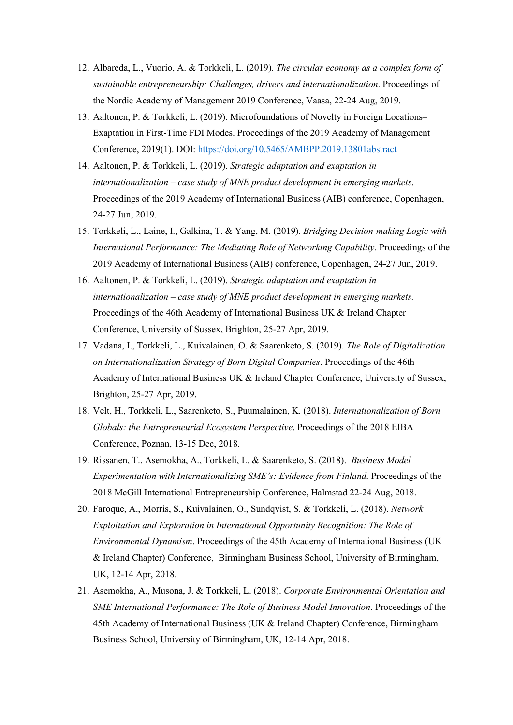- 12. Albareda, L., Vuorio, A. & Torkkeli, L. (2019). The circular economy as a complex form of sustainable entrepreneurship: Challenges, drivers and internationalization. Proceedings of the Nordic Academy of Management 2019 Conference, Vaasa, 22-24 Aug, 2019.
- 13. Aaltonen, P. & Torkkeli, L. (2019). Microfoundations of Novelty in Foreign Locations– Exaptation in First-Time FDI Modes. Proceedings of the 2019 Academy of Management Conference, 2019(1). DOI: https://doi.org/10.5465/AMBPP.2019.13801abstract
- 14. Aaltonen, P. & Torkkeli, L. (2019). Strategic adaptation and exaptation in internationalization – case study of MNE product development in emerging markets. Proceedings of the 2019 Academy of International Business (AIB) conference, Copenhagen, 24-27 Jun, 2019.
- 15. Torkkeli, L., Laine, I., Galkina, T. & Yang, M. (2019). Bridging Decision-making Logic with International Performance: The Mediating Role of Networking Capability. Proceedings of the 2019 Academy of International Business (AIB) conference, Copenhagen, 24-27 Jun, 2019.
- 16. Aaltonen, P. & Torkkeli, L. (2019). Strategic adaptation and exaptation in internationalization – case study of MNE product development in emerging markets. Proceedings of the 46th Academy of International Business UK & Ireland Chapter Conference, University of Sussex, Brighton, 25-27 Apr, 2019.
- 17. Vadana, I., Torkkeli, L., Kuivalainen, O. & Saarenketo, S. (2019). The Role of Digitalization on Internationalization Strategy of Born Digital Companies. Proceedings of the 46th Academy of International Business UK & Ireland Chapter Conference, University of Sussex, Brighton, 25-27 Apr, 2019.
- 18. Velt, H., Torkkeli, L., Saarenketo, S., Puumalainen, K. (2018). Internationalization of Born Globals: the Entrepreneurial Ecosystem Perspective. Proceedings of the 2018 EIBA Conference, Poznan, 13-15 Dec, 2018.
- 19. Rissanen, T., Asemokha, A., Torkkeli, L. & Saarenketo, S. (2018). Business Model Experimentation with Internationalizing SME's: Evidence from Finland. Proceedings of the 2018 McGill International Entrepreneurship Conference, Halmstad 22-24 Aug, 2018.
- 20. Faroque, A., Morris, S., Kuivalainen, O., Sundqvist, S. & Torkkeli, L. (2018). Network Exploitation and Exploration in International Opportunity Recognition: The Role of Environmental Dynamism. Proceedings of the 45th Academy of International Business (UK & Ireland Chapter) Conference, Birmingham Business School, University of Birmingham, UK, 12-14 Apr, 2018.
- 21. Asemokha, A., Musona, J. & Torkkeli, L. (2018). Corporate Environmental Orientation and SME International Performance: The Role of Business Model Innovation. Proceedings of the 45th Academy of International Business (UK & Ireland Chapter) Conference, Birmingham Business School, University of Birmingham, UK, 12-14 Apr, 2018.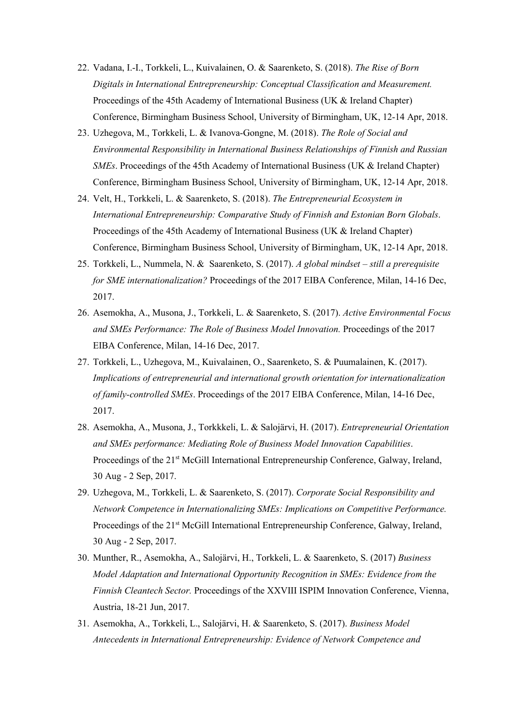- 22. Vadana, I.-I., Torkkeli, L., Kuivalainen, O. & Saarenketo, S. (2018). The Rise of Born Digitals in International Entrepreneurship: Conceptual Classification and Measurement. Proceedings of the 45th Academy of International Business (UK & Ireland Chapter) Conference, Birmingham Business School, University of Birmingham, UK, 12-14 Apr, 2018.
- 23. Uzhegova, M., Torkkeli, L. & Ivanova-Gongne, M. (2018). The Role of Social and Environmental Responsibility in International Business Relationships of Finnish and Russian SMEs. Proceedings of the 45th Academy of International Business (UK & Ireland Chapter) Conference, Birmingham Business School, University of Birmingham, UK, 12-14 Apr, 2018.
- 24. Velt, H., Torkkeli, L. & Saarenketo, S. (2018). The Entrepreneurial Ecosystem in International Entrepreneurship: Comparative Study of Finnish and Estonian Born Globals. Proceedings of the 45th Academy of International Business (UK & Ireland Chapter) Conference, Birmingham Business School, University of Birmingham, UK, 12-14 Apr, 2018.
- 25. Torkkeli, L., Nummela, N. & Saarenketo, S. (2017). A global mindset still a prerequisite for SME internationalization? Proceedings of the 2017 EIBA Conference, Milan, 14-16 Dec, 2017.
- 26. Asemokha, A., Musona, J., Torkkeli, L. & Saarenketo, S. (2017). Active Environmental Focus and SMEs Performance: The Role of Business Model Innovation. Proceedings of the 2017 EIBA Conference, Milan, 14-16 Dec, 2017.
- 27. Torkkeli, L., Uzhegova, M., Kuivalainen, O., Saarenketo, S. & Puumalainen, K. (2017). Implications of entrepreneurial and international growth orientation for internationalization of family-controlled SMEs. Proceedings of the 2017 EIBA Conference, Milan, 14-16 Dec, 2017.
- 28. Asemokha, A., Musona, J., Torkkkeli, L. & Salojärvi, H. (2017). Entrepreneurial Orientation and SMEs performance: Mediating Role of Business Model Innovation Capabilities. Proceedings of the 21<sup>st</sup> McGill International Entrepreneurship Conference, Galway, Ireland, 30 Aug - 2 Sep, 2017.
- 29. Uzhegova, M., Torkkeli, L. & Saarenketo, S. (2017). Corporate Social Responsibility and Network Competence in Internationalizing SMEs: Implications on Competitive Performance. Proceedings of the 21<sup>st</sup> McGill International Entrepreneurship Conference, Galway, Ireland, 30 Aug - 2 Sep, 2017.
- 30. Munther, R., Asemokha, A., Salojärvi, H., Torkkeli, L. & Saarenketo, S. (2017) Business Model Adaptation and International Opportunity Recognition in SMEs: Evidence from the Finnish Cleantech Sector. Proceedings of the XXVIII ISPIM Innovation Conference, Vienna, Austria, 18-21 Jun, 2017.
- 31. Asemokha, A., Torkkeli, L., Salojärvi, H. & Saarenketo, S. (2017). Business Model Antecedents in International Entrepreneurship: Evidence of Network Competence and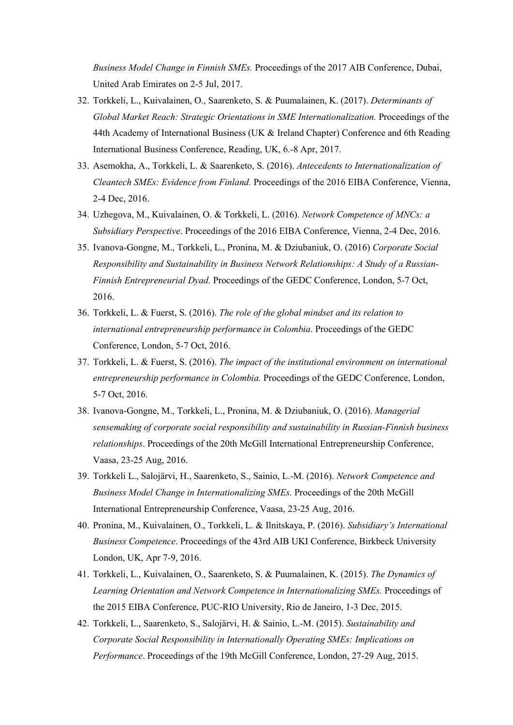Business Model Change in Finnish SMEs. Proceedings of the 2017 AIB Conference, Dubai, United Arab Emirates on 2-5 Jul, 2017.

- 32. Torkkeli, L., Kuivalainen, O., Saarenketo, S. & Puumalainen, K. (2017). Determinants of Global Market Reach: Strategic Orientations in SME Internationalization. Proceedings of the 44th Academy of International Business (UK & Ireland Chapter) Conference and 6th Reading International Business Conference, Reading, UK, 6.-8 Apr, 2017.
- 33. Asemokha, A., Torkkeli, L. & Saarenketo, S. (2016). Antecedents to Internationalization of Cleantech SMEs: Evidence from Finland. Proceedings of the 2016 EIBA Conference, Vienna, 2-4 Dec, 2016.
- 34. Uzhegova, M., Kuivalainen, O. & Torkkeli, L. (2016). Network Competence of MNCs: a Subsidiary Perspective. Proceedings of the 2016 EIBA Conference, Vienna, 2-4 Dec, 2016.
- 35. Ivanova-Gongne, M., Torkkeli, L., Pronina, M. & Dziubaniuk, O. (2016) Corporate Social Responsibility and Sustainability in Business Network Relationships: A Study of a Russian-Finnish Entrepreneurial Dyad. Proceedings of the GEDC Conference, London, 5-7 Oct, 2016.
- 36. Torkkeli, L. & Fuerst, S. (2016). The role of the global mindset and its relation to international entrepreneurship performance in Colombia. Proceedings of the GEDC Conference, London, 5-7 Oct, 2016.
- 37. Torkkeli, L. & Fuerst, S. (2016). The impact of the institutional environment on international entrepreneurship performance in Colombia. Proceedings of the GEDC Conference, London, 5-7 Oct, 2016.
- 38. Ivanova-Gongne, M., Torkkeli, L., Pronina, M. & Dziubaniuk, O. (2016). Managerial sensemaking of corporate social responsibility and sustainability in Russian-Finnish business relationships. Proceedings of the 20th McGill International Entrepreneurship Conference, Vaasa, 23-25 Aug, 2016.
- 39. Torkkeli L., Salojärvi, H., Saarenketo, S., Sainio, L.-M. (2016). Network Competence and Business Model Change in Internationalizing SMEs. Proceedings of the 20th McGill International Entrepreneurship Conference, Vaasa, 23-25 Aug, 2016.
- 40. Pronina, M., Kuivalainen, O., Torkkeli, L. & Ilnitskaya, P. (2016). Subsidiary's International Business Competence. Proceedings of the 43rd AIB UKI Conference, Birkbeck University London, UK, Apr 7-9, 2016.
- 41. Torkkeli, L., Kuivalainen, O., Saarenketo, S. & Puumalainen, K. (2015). The Dynamics of Learning Orientation and Network Competence in Internationalizing SMEs. Proceedings of the 2015 EIBA Conference, PUC-RIO University, Rio de Janeiro, 1-3 Dec, 2015.
- 42. Torkkeli, L., Saarenketo, S., Salojärvi, H. & Sainio, L.-M. (2015). Sustainability and Corporate Social Responsibility in Internationally Operating SMEs: Implications on Performance. Proceedings of the 19th McGill Conference, London, 27-29 Aug, 2015.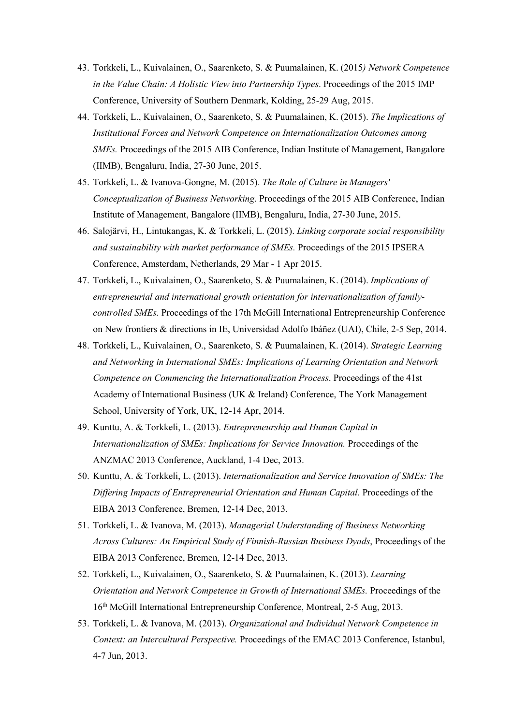- 43. Torkkeli, L., Kuivalainen, O., Saarenketo, S. & Puumalainen, K. (2015) Network Competence in the Value Chain: A Holistic View into Partnership Types. Proceedings of the 2015 IMP Conference, University of Southern Denmark, Kolding, 25-29 Aug, 2015.
- 44. Torkkeli, L., Kuivalainen, O., Saarenketo, S. & Puumalainen, K. (2015). The Implications of Institutional Forces and Network Competence on Internationalization Outcomes among SMEs. Proceedings of the 2015 AIB Conference, Indian Institute of Management, Bangalore (IIMB), Bengaluru, India, 27-30 June, 2015.
- 45. Torkkeli, L. & Ivanova-Gongne, M. (2015). The Role of Culture in Managers' Conceptualization of Business Networking. Proceedings of the 2015 AIB Conference, Indian Institute of Management, Bangalore (IIMB), Bengaluru, India, 27-30 June, 2015.
- 46. Salojärvi, H., Lintukangas, K. & Torkkeli, L. (2015). Linking corporate social responsibility and sustainability with market performance of SMEs. Proceedings of the 2015 IPSERA Conference, Amsterdam, Netherlands, 29 Mar - 1 Apr 2015.
- 47. Torkkeli, L., Kuivalainen, O., Saarenketo, S. & Puumalainen, K. (2014). Implications of entrepreneurial and international growth orientation for internationalization of familycontrolled SMEs. Proceedings of the 17th McGill International Entrepreneurship Conference on New frontiers & directions in IE, Universidad Adolfo Ibáñez (UAI), Chile, 2-5 Sep, 2014.
- 48. Torkkeli, L., Kuivalainen, O., Saarenketo, S. & Puumalainen, K. (2014). Strategic Learning and Networking in International SMEs: Implications of Learning Orientation and Network Competence on Commencing the Internationalization Process. Proceedings of the 41st Academy of International Business (UK & Ireland) Conference, The York Management School, University of York, UK, 12-14 Apr, 2014.
- 49. Kunttu, A. & Torkkeli, L. (2013). Entrepreneurship and Human Capital in Internationalization of SMEs: Implications for Service Innovation. Proceedings of the ANZMAC 2013 Conference, Auckland, 1-4 Dec, 2013.
- 50. Kunttu, A. & Torkkeli, L. (2013). Internationalization and Service Innovation of SMEs: The Differing Impacts of Entrepreneurial Orientation and Human Capital. Proceedings of the EIBA 2013 Conference, Bremen, 12-14 Dec, 2013.
- 51. Torkkeli, L. & Ivanova, M. (2013). Managerial Understanding of Business Networking Across Cultures: An Empirical Study of Finnish-Russian Business Dyads, Proceedings of the EIBA 2013 Conference, Bremen, 12-14 Dec, 2013.
- 52. Torkkeli, L., Kuivalainen, O., Saarenketo, S. & Puumalainen, K. (2013). Learning Orientation and Network Competence in Growth of International SMEs. Proceedings of the 16<sup>th</sup> McGill International Entrepreneurship Conference, Montreal, 2-5 Aug, 2013.
- 53. Torkkeli, L. & Ivanova, M. (2013). Organizational and Individual Network Competence in Context: an Intercultural Perspective. Proceedings of the EMAC 2013 Conference, Istanbul, 4-7 Jun, 2013.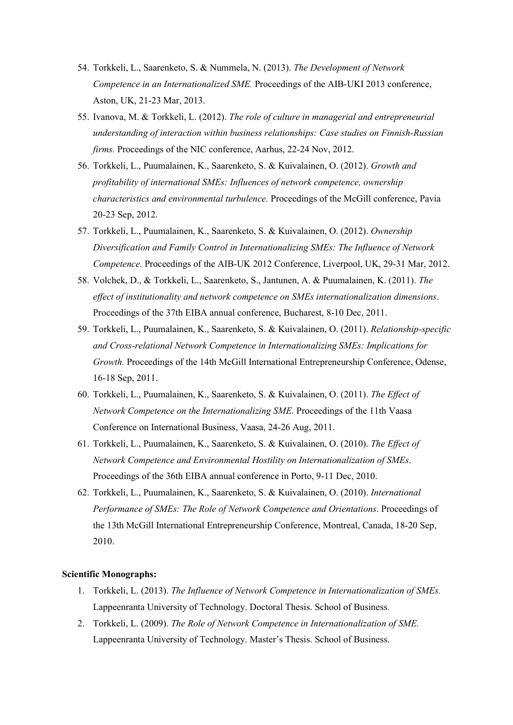- 54. Torkkeli, L., Saarenketo, S. & Nummela, N. (2013). The Development of Network Competence in an Internationalized SME. Proceedings of the AIB-UKI 2013 conference, Aston, UK, 21-23 Mar, 2013.
- 55. Ivanova, M. & Torkkeli, L. (2012). The role of culture in managerial and entrepreneurial understanding of interaction within business relationships: Case studies on Finnish-Russian firms. Proceedings of the NIC conference, Aarhus, 22-24 Nov, 2012.
- 56. Torkkeli, L., Puumalainen, K., Saarenketo, S. & Kuivalainen, O. (2012). Growth and profitability of international SMEs: Influences of network competence, ownership characteristics and environmental turbulence. Proceedings of the McGill conference, Pavia 20-23 Sep, 2012.
- 57. Torkkeli, L., Puumalainen, K., Saarenketo, S. & Kuivalainen, O. (2012). Ownership Diversification and Family Control in Internationalizing SMEs: The Influence of Network Competence. Proceedings of the AIB-UK 2012 Conference, Liverpool, UK, 29-31 Mar, 2012.
- 58. Volchek, D., & Torkkeli, L., Saarenketo, S., Jantunen, A. & Puumalainen, K. (2011). The effect of institutionality and network competence on SMEs internationalization dimensions. Proceedings of the 37th EIBA annual conference, Bucharest, 8-10 Dec, 2011.
- 59. Torkkeli, L., Puumalainen, K., Saarenketo, S. & Kuivalainen, O. (2011). Relationship-specific and Cross-relational Network Competence in Internationalizing SMEs: Implications for Growth. Proceedings of the 14th McGill International Entrepreneurship Conference, Odense, 16-18 Sep, 2011.
- 60. Torkkeli, L., Puumalainen, K., Saarenketo, S. & Kuivalainen, O. (2011). The Effect of Network Competence on the Internationalizing SME. Proceedings of the 11th Vaasa Conference on International Business, Vaasa, 24-26 Aug, 2011.
- 61. Torkkeli, L., Puumalainen, K., Saarenketo, S. & Kuivalainen, O. (2010). The Effect of Network Competence and Environmental Hostility on Internationalization of SMEs. Proceedings of the 36th EIBA annual conference in Porto, 9-11 Dec, 2010.
- 62. Torkkeli, L., Puumalainen, K., Saarenketo, S. & Kuivalainen, O. (2010). International Performance of SMEs: The Role of Network Competence and Orientations. Proceedings of the 13th McGill International Entrepreneurship Conference, Montreal, Canada, 18-20 Sep, 2010.

## Scientific Monographs:

- 1. Torkkeli, L. (2013). The Influence of Network Competence in Internationalization of SMEs. Lappeenranta University of Technology. Doctoral Thesis. School of Business.
- 2. Torkkeli, L. (2009). The Role of Network Competence in Internationalization of SME. Lappeenranta University of Technology. Master's Thesis. School of Business.